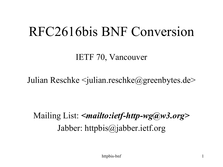### RFC2616bis BNF Conversion

IETF 70, Vancouver

Julian Reschke  $\le$ julian.reschke $@$ greenbytes.de>

Mailing List: *<mailto:ietf-http-wg@w3.org>* Jabber: httpbis@jabber.ietf.org

httpbis-bnf 1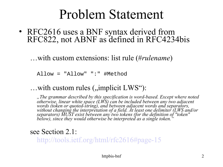### Problem Statement

• RFC2616 uses a BNF syntax derived from RFC822, not ABNF as defined in RFC4234bis

…with custom extensions: list rule (#*rulename*)

Allow = "Allow" ":" #Method

... with custom rules ("implicit LWS"):

*"The grammar described by this specification is word-based. Except where noted otherwise, linear white space (LWS) can be included between any two adjacent words (token or quoted-string), and between adjacent words and separators, without changing the interpretation of a field. At least one delimiter (LWS and/or separators) MUST exist between any two tokens (for the definition of "token" below), since they would otherwise be interpreted as a single token."* 

see Section 2.1:

[http://tools.ietf.org/html/rfc2616#page-15](http://tools.ietf.org/html/rfc2616)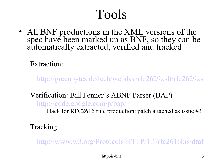### Tools

• All BNF productions in the XML versions of the spec have been marked up as BNF, so they can be automatically extracted, verified and tracked

Extraction:

[http://greenbytes.de/tech/webdav/rfc2629xslt/rfc2629xsl](http://greenbytes.de/tech/webdav/rfc2629xslt/rfc2629xslt.html)

#### Verification: Bill Fenner's ABNF Parser (BAP) <http://code.google.com/p/bap/>

Hack for RFC2616 rule production: patch attached as issue #3

Tracking:

http://www.w3.org/Protocols/HTTP/1.1/rfc2616bis/draf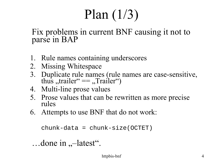# Plan (1/3)

#### Fix problems in current BNF causing it not to parse in BAP

- 1. Rule names containing underscores
- 2. Missing Whitespace
- 3. Duplicate rule names (rule names are case-sensitive, thus ,,trailer"  $==$ , Trailer")
- 4. Multi-line prose values
- 5. Prose values that can be rewritten as more precise rules
- 6. Attempts to use BNF that do not work:

chunk-data = chunk-size(OCTET)

```
\ldotsdone in \ldots-latest".
```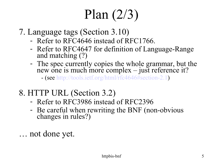# Plan (2/3)

- 7. Language tags (Section 3.10)
	- Refer to RFC4646 instead of RFC1766.
	- Refer to RFC4647 for definition of Language-Range and matching (?)
	- The spec currently copies the whole grammar, but the new one is much more complex – just reference it? - (see [http://tools.ietf.org/html/rfc4646#section-2.1\)](http://tools.ietf.org/html/rfc4646)
- 8. HTTP URL (Section 3.2)
	- Refer to RFC3986 instead of RFC2396
	- Be careful when rewriting the BNF (non-obvious changes in rules?)
- … not done yet.